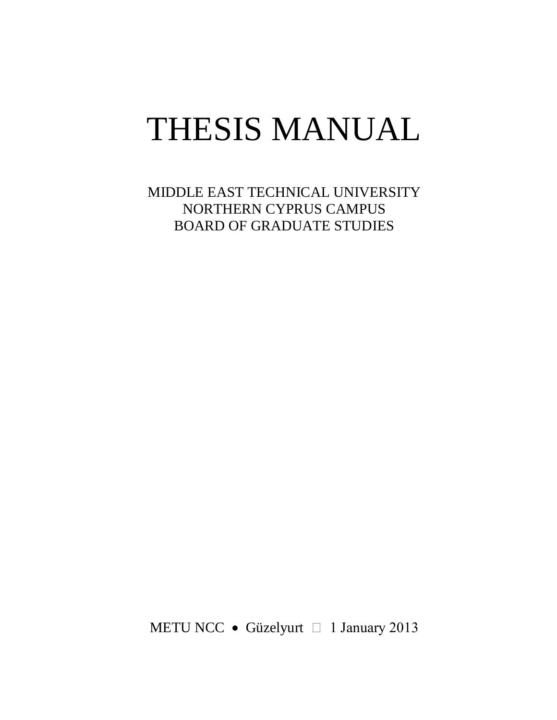# THESIS MANUAL

MIDDLE EAST TECHNICAL UNIVERSITY NORTHERN CYPRUS CAMPUS BOARD OF GRADUATE STUDIES

METU NCC • Güzelyurt  $\Box$  1 January 2013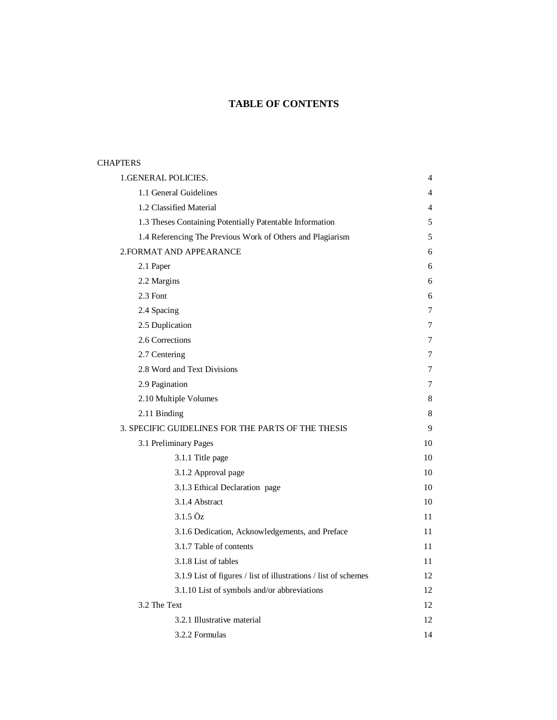# **TABLE OF CONTENTS**

## **CHAPTERS**

| 1.GENERAL POLICIES.                                |                                                                 | 4  |
|----------------------------------------------------|-----------------------------------------------------------------|----|
| 1.1 General Guidelines                             |                                                                 | 4  |
| 1.2 Classified Material                            |                                                                 | 4  |
|                                                    | 1.3 Theses Containing Potentially Patentable Information        | 5  |
|                                                    | 1.4 Referencing The Previous Work of Others and Plagiarism      | 5  |
| 2. FORMAT AND APPEARANCE                           |                                                                 | 6  |
| 2.1 Paper                                          |                                                                 | 6  |
| 2.2 Margins                                        |                                                                 | 6  |
| 2.3 Font                                           |                                                                 | 6  |
| 2.4 Spacing                                        |                                                                 | 7  |
| 2.5 Duplication                                    |                                                                 | 7  |
| 2.6 Corrections                                    |                                                                 | 7  |
| 2.7 Centering                                      |                                                                 | 7  |
| 2.8 Word and Text Divisions                        |                                                                 | 7  |
| 2.9 Pagination                                     |                                                                 | 7  |
| 2.10 Multiple Volumes                              |                                                                 | 8  |
| 2.11 Binding                                       |                                                                 | 8  |
| 3. SPECIFIC GUIDELINES FOR THE PARTS OF THE THESIS |                                                                 | 9  |
| 3.1 Preliminary Pages                              |                                                                 | 10 |
| 3.1.1 Title page                                   |                                                                 | 10 |
| 3.1.2 Approval page                                |                                                                 | 10 |
|                                                    | 3.1.3 Ethical Declaration page                                  | 10 |
| 3.1.4 Abstract                                     |                                                                 | 10 |
| $3.1.5 \ddot{\Omega}$ z                            |                                                                 | 11 |
|                                                    | 3.1.6 Dedication, Acknowledgements, and Preface                 | 11 |
| 3.1.7 Table of contents                            |                                                                 | 11 |
| 3.1.8 List of tables                               |                                                                 | 11 |
|                                                    | 3.1.9 List of figures / list of illustrations / list of schemes | 12 |
|                                                    | 3.1.10 List of symbols and/or abbreviations                     | 12 |
| 3.2 The Text                                       |                                                                 | 12 |
| 3.2.1 Illustrative material                        |                                                                 | 12 |
| 3.2.2 Formulas                                     |                                                                 | 14 |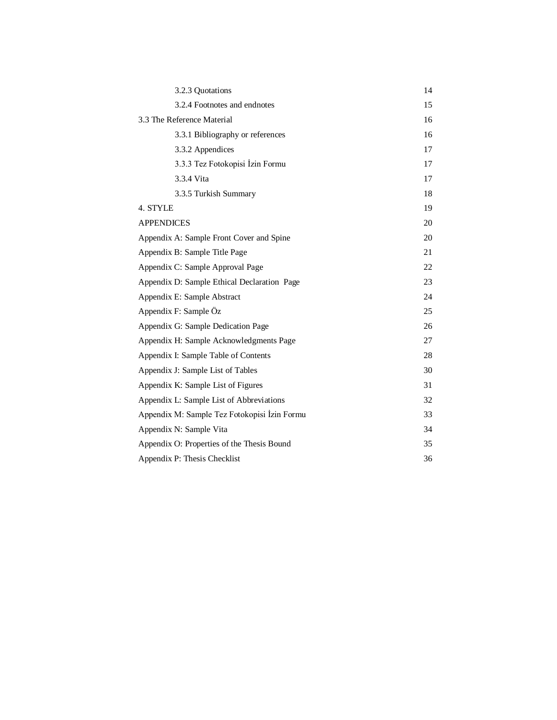| 3.2.3 Quotations                             | 14 |  |
|----------------------------------------------|----|--|
| 3.2.4 Footnotes and endnotes                 | 15 |  |
| 3.3 The Reference Material                   | 16 |  |
| 3.3.1 Bibliography or references             | 16 |  |
| 3.3.2 Appendices                             | 17 |  |
| 3.3.3 Tez Fotokopisi İzin Formu              | 17 |  |
| 3.3.4 Vita                                   | 17 |  |
| 3.3.5 Turkish Summary                        | 18 |  |
| 4. STYLE                                     | 19 |  |
| <b>APPENDICES</b>                            | 20 |  |
| Appendix A: Sample Front Cover and Spine     | 20 |  |
| Appendix B: Sample Title Page                | 21 |  |
| Appendix C: Sample Approval Page             | 22 |  |
| Appendix D: Sample Ethical Declaration Page  | 23 |  |
| Appendix E: Sample Abstract                  | 24 |  |
| Appendix F: Sample Oz                        | 25 |  |
| Appendix G: Sample Dedication Page           | 26 |  |
| Appendix H: Sample Acknowledgments Page      | 27 |  |
| Appendix I: Sample Table of Contents         | 28 |  |
| Appendix J: Sample List of Tables            | 30 |  |
| Appendix K: Sample List of Figures           | 31 |  |
| Appendix L: Sample List of Abbreviations     | 32 |  |
| Appendix M: Sample Tez Fotokopisi İzin Formu | 33 |  |
| Appendix N: Sample Vita                      | 34 |  |
| Appendix O: Properties of the Thesis Bound   | 35 |  |
| Appendix P: Thesis Checklist                 | 36 |  |
|                                              |    |  |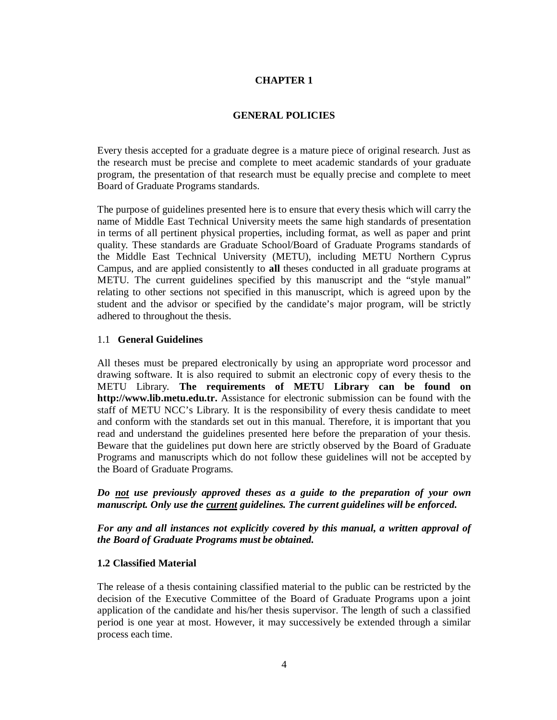# **CHAPTER 1**

#### **GENERAL POLICIES**

Every thesis accepted for a graduate degree is a mature piece of original research. Just as the research must be precise and complete to meet academic standards of your graduate program, the presentation of that research must be equally precise and complete to meet Board of Graduate Programs standards.

The purpose of guidelines presented here is to ensure that every thesis which will carry the name of Middle East Technical University meets the same high standards of presentation in terms of all pertinent physical properties, including format, as well as paper and print quality. These standards are Graduate School/Board of Graduate Programs standards of the Middle East Technical University (METU), including METU Northern Cyprus Campus, and are applied consistently to **all** theses conducted in all graduate programs at METU. The current guidelines specified by this manuscript and the "style manual" relating to other sections not specified in this manuscript, which is agreed upon by the student and the advisor or specified by the candidate's major program, will be strictly adhered to throughout the thesis.

#### 1.1 **General Guidelines**

All theses must be prepared electronically by using an appropriate word processor and drawing software. It is also required to submit an electronic copy of every thesis to the METU Library. **The requirements of METU Library can be found on http://www.lib.metu.edu.tr.** Assistance for electronic submission can be found with the staff of METU NCC's Library. It is the responsibility of every thesis candidate to meet and conform with the standards set out in this manual. Therefore, it is important that you read and understand the guidelines presented here before the preparation of your thesis. Beware that the guidelines put down here are strictly observed by the Board of Graduate Programs and manuscripts which do not follow these guidelines will not be accepted by the Board of Graduate Programs.

*Do not use previously approved theses as a guide to the preparation of your own manuscript. Only use the current guidelines. The current guidelines will be enforced.*

*For any and all instances not explicitly covered by this manual, a written approval of the Board of Graduate Programs must be obtained.*

#### **1.2 Classified Material**

The release of a thesis containing classified material to the public can be restricted by the decision of the Executive Committee of the Board of Graduate Programs upon a joint application of the candidate and his/her thesis supervisor. The length of such a classified period is one year at most. However, it may successively be extended through a similar process each time.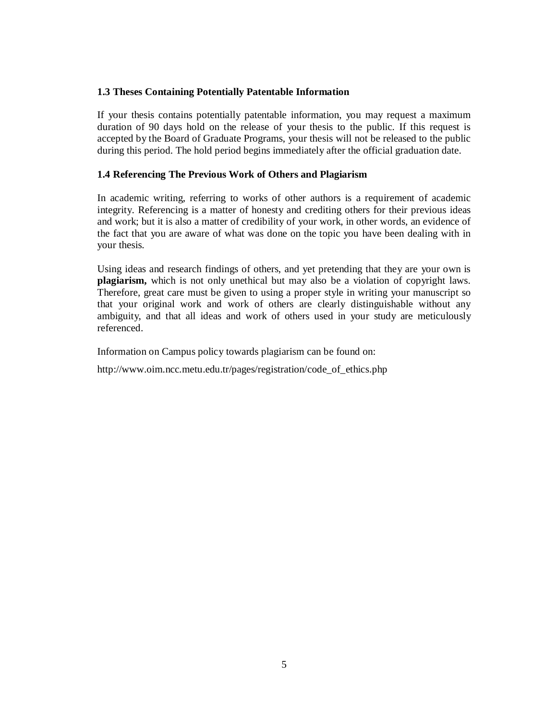## **1.3 Theses Containing Potentially Patentable Information**

If your thesis contains potentially patentable information, you may request a maximum duration of 90 days hold on the release of your thesis to the public. If this request is accepted by the Board of Graduate Programs, your thesis will not be released to the public during this period. The hold period begins immediately after the official graduation date.

## **1.4 Referencing The Previous Work of Others and Plagiarism**

In academic writing, referring to works of other authors is a requirement of academic integrity. Referencing is a matter of honesty and crediting others for their previous ideas and work; but it is also a matter of credibility of your work, in other words, an evidence of the fact that you are aware of what was done on the topic you have been dealing with in your thesis.

Using ideas and research findings of others, and yet pretending that they are your own is **plagiarism,** which is not only unethical but may also be a violation of copyright laws. Therefore, great care must be given to using a proper style in writing your manuscript so that your original work and work of others are clearly distinguishable without any ambiguity, and that all ideas and work of others used in your study are meticulously referenced.

Information on Campus policy towards plagiarism can be found on:

http://www.oim.ncc.metu.edu.tr/pages/registration/code\_of\_ethics.php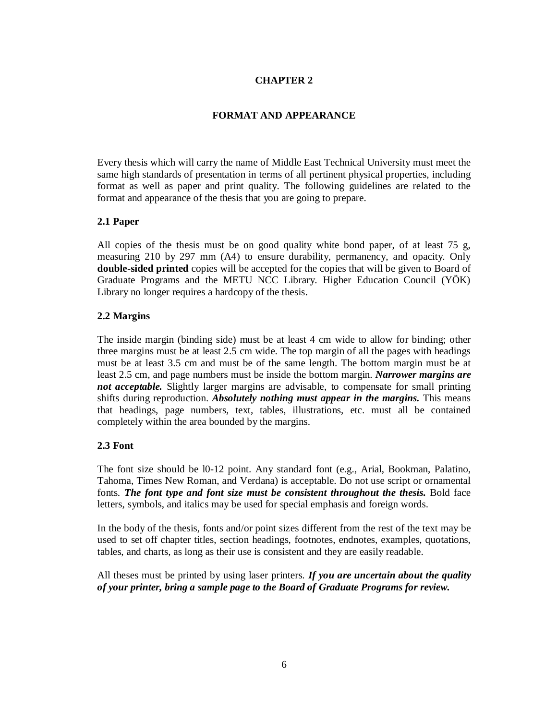# **CHAPTER 2**

#### **FORMAT AND APPEARANCE**

Every thesis which will carry the name of Middle East Technical University must meet the same high standards of presentation in terms of all pertinent physical properties, including format as well as paper and print quality. The following guidelines are related to the format and appearance of the thesis that you are going to prepare.

#### **2.1 Paper**

All copies of the thesis must be on good quality white bond paper, of at least 75 g, measuring 210 by 297 mm (A4) to ensure durability, permanency, and opacity. Only **double-sided printed** copies will be accepted for the copies that will be given to Board of Graduate Programs and the METU NCC Library. Higher Education Council (YÖK) Library no longer requires a hardcopy of the thesis.

#### **2.2 Margins**

The inside margin (binding side) must be at least 4 cm wide to allow for binding; other three margins must be at least 2.5 cm wide. The top margin of all the pages with headings must be at least 3.5 cm and must be of the same length. The bottom margin must be at least 2.5 cm, and page numbers must be inside the bottom margin. *Narrower margins are not acceptable.* Slightly larger margins are advisable, to compensate for small printing shifts during reproduction. *Absolutely nothing must appear in the margins.* This means that headings, page numbers, text, tables, illustrations, etc. must all be contained completely within the area bounded by the margins.

#### **2.3 Font**

The font size should be l0-12 point. Any standard font (e.g., Arial, Bookman, Palatino, Tahoma, Times New Roman, and Verdana) is acceptable. Do not use script or ornamental fonts. *The font type and font size must be consistent throughout the thesis.* Bold face letters, symbols, and italics may be used for special emphasis and foreign words.

In the body of the thesis, fonts and/or point sizes different from the rest of the text may be used to set off chapter titles, section headings, footnotes, endnotes, examples, quotations, tables, and charts, as long as their use is consistent and they are easily readable.

All theses must be printed by using laser printers. *If you are uncertain about the quality of your printer, bring a sample page to the Board of Graduate Programs for review.*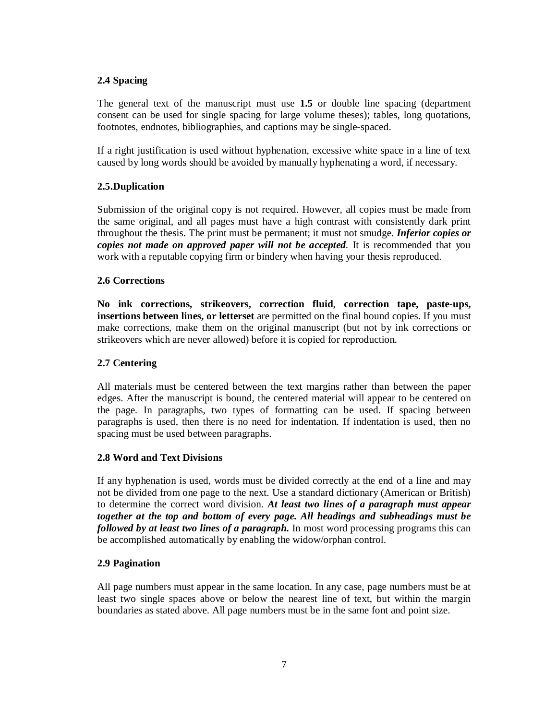#### **2.4 Spacing**

The general text of the manuscript must use **1.5** or double line spacing (department consent can be used for single spacing for large volume theses); tables, long quotations, footnotes, endnotes, bibliographies, and captions may be single-spaced.

If a right justification is used without hyphenation, excessive white space in a line of text caused by long words should be avoided by manually hyphenating a word, if necessary.

#### **2.5.Duplication**

Submission of the original copy is not required. However, all copies must be made from the same original, and all pages must have a high contrast with consistently dark print throughout the thesis. The print must be permanent; it must not smudge. *Inferior copies or copies not made on approved paper will not be accepted.* It is recommended that you work with a reputable copying firm or bindery when having your thesis reproduced.

## **2.6 Corrections**

**No ink corrections, strikeovers, correction fluid**, **correction tape, paste-ups, insertions between lines, or letterset** are permitted on the final bound copies. If you must make corrections, make them on the original manuscript (but not by ink corrections or strikeovers which are never allowed) before it is copied for reproduction.

#### **2.7 Centering**

All materials must be centered between the text margins rather than between the paper edges. After the manuscript is bound, the centered material will appear to be centered on the page. In paragraphs, two types of formatting can be used. If spacing between paragraphs is used, then there is no need for indentation. If indentation is used, then no spacing must be used between paragraphs.

#### **2.8 Word and Text Divisions**

If any hyphenation is used, words must be divided correctly at the end of a line and may not be divided from one page to the next. Use a standard dictionary (American or British) to determine the correct word division. *At least two lines of a paragraph must appear together at the top and bottom of every page. All headings and subheadings must be followed by at least two lines of a paragraph.* In most word processing programs this can be accomplished automatically by enabling the widow/orphan control.

#### **2.9 Pagination**

All page numbers must appear in the same location. In any case, page numbers must be at least two single spaces above or below the nearest line of text, but within the margin boundaries as stated above. All page numbers must be in the same font and point size.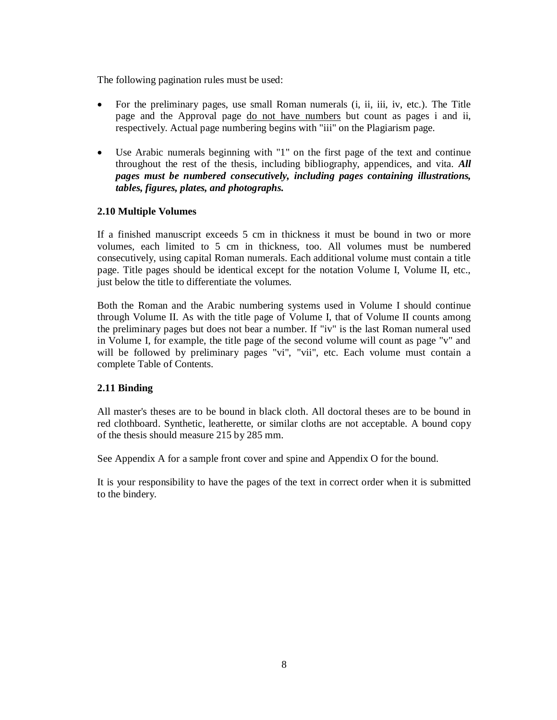The following pagination rules must be used:

- For the preliminary pages, use small Roman numerals (i, ii, iii, iv, etc.). The Title page and the Approval page do not have numbers but count as pages i and ii, respectively. Actual page numbering begins with "iii" on the Plagiarism page.
- Use Arabic numerals beginning with "1" on the first page of the text and continue throughout the rest of the thesis, including bibliography, appendices, and vita. *All pages must be numbered consecutively, including pages containing illustrations, tables, figures, plates, and photographs.*

#### **2.10 Multiple Volumes**

If a finished manuscript exceeds 5 cm in thickness it must be bound in two or more volumes, each limited to 5 cm in thickness, too. All volumes must be numbered consecutively, using capital Roman numerals. Each additional volume must contain a title page. Title pages should be identical except for the notation Volume I, Volume II, etc., just below the title to differentiate the volumes.

Both the Roman and the Arabic numbering systems used in Volume I should continue through Volume II. As with the title page of Volume I, that of Volume II counts among the preliminary pages but does not bear a number. If "iv" is the last Roman numeral used in Volume I, for example, the title page of the second volume will count as page "v" and will be followed by preliminary pages "vi", "vii", etc. Each volume must contain a complete Table of Contents.

#### **2.11 Binding**

All master's theses are to be bound in black cloth. All doctoral theses are to be bound in red clothboard. Synthetic, leatherette, or similar cloths are not acceptable. A bound copy of the thesis should measure 215 by 285 mm.

See Appendix A for a sample front cover and spine and Appendix O for the bound.

It is your responsibility to have the pages of the text in correct order when it is submitted to the bindery.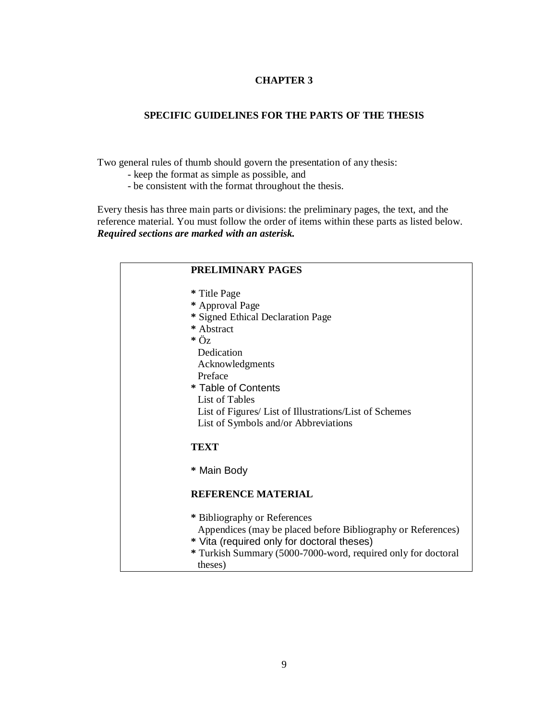# **CHAPTER 3**

## **SPECIFIC GUIDELINES FOR THE PARTS OF THE THESIS**

Two general rules of thumb should govern the presentation of any thesis:

- keep the format as simple as possible, and
- be consistent with the format throughout the thesis.

Every thesis has three main parts or divisions: the preliminary pages, the text, and the reference material. You must follow the order of items within these parts as listed below. *Required sections are marked with an asterisk.*

| PRELIMINARY PAGES                                                        |
|--------------------------------------------------------------------------|
| * Title Page                                                             |
| * Approval Page                                                          |
| * Signed Ethical Declaration Page                                        |
| * Abstract                                                               |
| $*\ddot{\mathrm{O}}$ z                                                   |
| Dedication                                                               |
| Acknowledgments                                                          |
| Preface                                                                  |
| * Table of Contents                                                      |
| List of Tables                                                           |
| List of Figures/ List of Illustrations/List of Schemes                   |
| List of Symbols and/or Abbreviations                                     |
| <b>TEXT</b>                                                              |
| * Main Body                                                              |
| <b>REFERENCE MATERIAL</b>                                                |
| * Bibliography or References                                             |
| Appendices (may be placed before Bibliography or References)             |
| * Vita (required only for doctoral theses)                               |
| * Turkish Summary (5000-7000-word, required only for doctoral<br>theses) |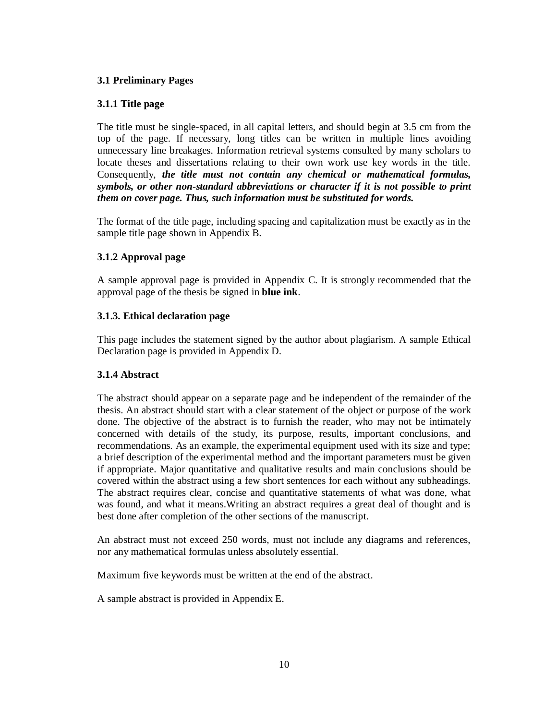#### **3.1 Preliminary Pages**

#### **3.1.1 Title page**

The title must be single-spaced, in all capital letters, and should begin at 3.5 cm from the top of the page. If necessary, long titles can be written in multiple lines avoiding unnecessary line breakages. Information retrieval systems consulted by many scholars to locate theses and dissertations relating to their own work use key words in the title. Consequently, *the title must not contain any chemical or mathematical formulas, symbols, or other non-standard abbreviations or character if it is not possible to print them on cover page. Thus, such information must be substituted for words.*

The format of the title page, including spacing and capitalization must be exactly as in the sample title page shown in Appendix B.

# **3.1.2 Approval page**

A sample approval page is provided in Appendix C. It is strongly recommended that the approval page of the thesis be signed in **blue ink**.

## **3.1.3. Ethical declaration page**

This page includes the statement signed by the author about plagiarism. A sample Ethical Declaration page is provided in Appendix D.

#### **3.1.4 Abstract**

The abstract should appear on a separate page and be independent of the remainder of the thesis. An abstract should start with a clear statement of the object or purpose of the work done. The objective of the abstract is to furnish the reader, who may not be intimately concerned with details of the study, its purpose, results, important conclusions, and recommendations. As an example, the experimental equipment used with its size and type; a brief description of the experimental method and the important parameters must be given if appropriate. Major quantitative and qualitative results and main conclusions should be covered within the abstract using a few short sentences for each without any subheadings. The abstract requires clear, concise and quantitative statements of what was done, what was found, and what it means.Writing an abstract requires a great deal of thought and is best done after completion of the other sections of the manuscript.

An abstract must not exceed 250 words, must not include any diagrams and references, nor any mathematical formulas unless absolutely essential.

Maximum five keywords must be written at the end of the abstract.

A sample abstract is provided in Appendix E.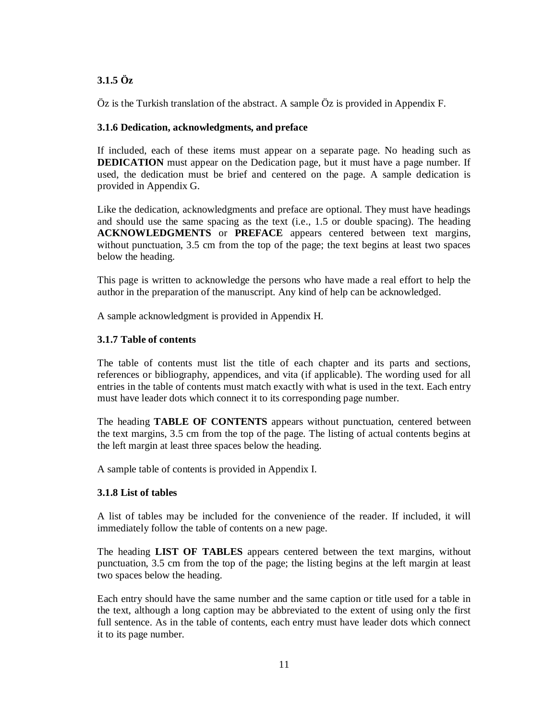# **3.1.5 Öz**

Öz is the Turkish translation of the abstract. A sample Öz is provided in Appendix F.

## **3.1.6 Dedication, acknowledgments, and preface**

If included, each of these items must appear on a separate page. No heading such as **DEDICATION** must appear on the Dedication page, but it must have a page number. If used, the dedication must be brief and centered on the page. A sample dedication is provided in Appendix G.

Like the dedication, acknowledgments and preface are optional. They must have headings and should use the same spacing as the text (i.e., 1.5 or double spacing). The heading **ACKNOWLEDGMENTS** or **PREFACE** appears centered between text margins, without punctuation, 3.5 cm from the top of the page; the text begins at least two spaces below the heading.

This page is written to acknowledge the persons who have made a real effort to help the author in the preparation of the manuscript. Any kind of help can be acknowledged.

A sample acknowledgment is provided in Appendix H.

## **3.1.7 Table of contents**

The table of contents must list the title of each chapter and its parts and sections, references or bibliography, appendices, and vita (if applicable). The wording used for all entries in the table of contents must match exactly with what is used in the text. Each entry must have leader dots which connect it to its corresponding page number.

The heading **TABLE OF CONTENTS** appears without punctuation, centered between the text margins, 3.5 cm from the top of the page. The listing of actual contents begins at the left margin at least three spaces below the heading.

A sample table of contents is provided in Appendix I.

#### **3.1.8 List of tables**

A list of tables may be included for the convenience of the reader. If included, it will immediately follow the table of contents on a new page.

The heading **LIST OF TABLES** appears centered between the text margins, without punctuation, 3.5 cm from the top of the page; the listing begins at the left margin at least two spaces below the heading.

Each entry should have the same number and the same caption or title used for a table in the text, although a long caption may be abbreviated to the extent of using only the first full sentence. As in the table of contents, each entry must have leader dots which connect it to its page number.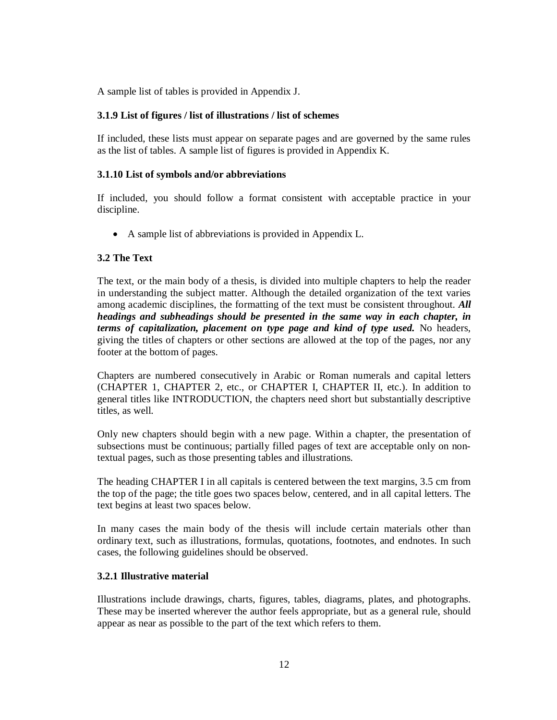A sample list of tables is provided in Appendix J.

#### **3.1.9 List of figures / list of illustrations / list of schemes**

If included, these lists must appear on separate pages and are governed by the same rules as the list of tables. A sample list of figures is provided in Appendix K.

#### **3.1.10 List of symbols and/or abbreviations**

If included, you should follow a format consistent with acceptable practice in your discipline.

A sample list of abbreviations is provided in Appendix L.

#### **3.2 The Text**

The text, or the main body of a thesis, is divided into multiple chapters to help the reader in understanding the subject matter. Although the detailed organization of the text varies among academic disciplines, the formatting of the text must be consistent throughout. *All headings and subheadings should be presented in the same way in each chapter, in terms of capitalization, placement on type page and kind of type used.* No headers, giving the titles of chapters or other sections are allowed at the top of the pages, nor any footer at the bottom of pages.

Chapters are numbered consecutively in Arabic or Roman numerals and capital letters (CHAPTER 1, CHAPTER 2, etc., or CHAPTER I, CHAPTER II, etc.). In addition to general titles like INTRODUCTION, the chapters need short but substantially descriptive titles, as well.

Only new chapters should begin with a new page. Within a chapter, the presentation of subsections must be continuous; partially filled pages of text are acceptable only on nontextual pages, such as those presenting tables and illustrations.

The heading CHAPTER I in all capitals is centered between the text margins, 3.5 cm from the top of the page; the title goes two spaces below, centered, and in all capital letters. The text begins at least two spaces below.

In many cases the main body of the thesis will include certain materials other than ordinary text, such as illustrations, formulas, quotations, footnotes, and endnotes. In such cases, the following guidelines should be observed.

#### **3.2.1 Illustrative material**

Illustrations include drawings, charts, figures, tables, diagrams, plates, and photographs. These may be inserted wherever the author feels appropriate, but as a general rule, should appear as near as possible to the part of the text which refers to them.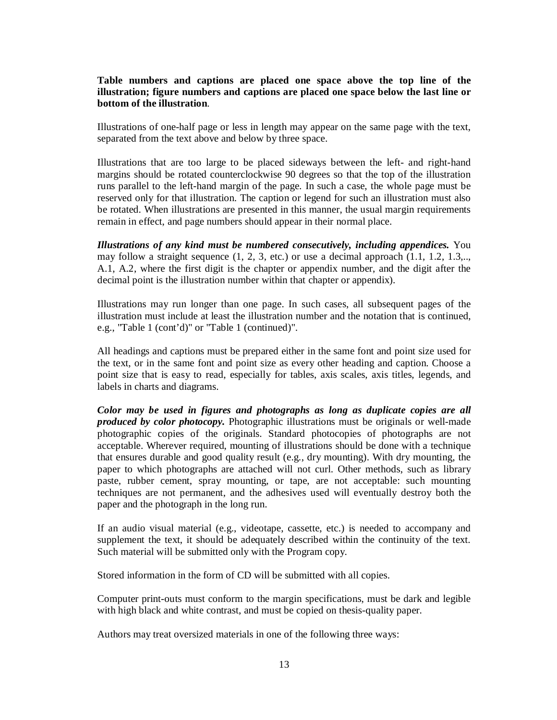#### **Table numbers and captions are placed one space above the top line of the illustration; figure numbers and captions are placed one space below the last line or bottom of the illustration**.

Illustrations of one-half page or less in length may appear on the same page with the text, separated from the text above and below by three space.

Illustrations that are too large to be placed sideways between the left- and right-hand margins should be rotated counterclockwise 90 degrees so that the top of the illustration runs parallel to the left-hand margin of the page. In such a case, the whole page must be reserved only for that illustration. The caption or legend for such an illustration must also be rotated. When illustrations are presented in this manner, the usual margin requirements remain in effect, and page numbers should appear in their normal place.

*Illustrations of any kind must be numbered consecutively, including appendices.* You may follow a straight sequence  $(1, 2, 3, \text{ etc.})$  or use a decimal approach  $(1.1, 1.2, 1.3, \ldots)$ A.1, A.2, where the first digit is the chapter or appendix number, and the digit after the decimal point is the illustration number within that chapter or appendix).

Illustrations may run longer than one page. In such cases, all subsequent pages of the illustration must include at least the illustration number and the notation that is continued, e.g., "Table 1 (cont'd)" or "Table 1 (continued)".

All headings and captions must be prepared either in the same font and point size used for the text, or in the same font and point size as every other heading and caption. Choose a point size that is easy to read, especially for tables, axis scales, axis titles, legends, and labels in charts and diagrams.

*Color may be used in figures and photographs as long as duplicate copies are all produced by color photocopy.* Photographic illustrations must be originals or well-made photographic copies of the originals. Standard photocopies of photographs are not acceptable. Wherever required, mounting of illustrations should be done with a technique that ensures durable and good quality result (e.g., dry mounting). With dry mounting, the paper to which photographs are attached will not curl. Other methods, such as library paste, rubber cement, spray mounting, or tape, are not acceptable: such mounting techniques are not permanent, and the adhesives used will eventually destroy both the paper and the photograph in the long run.

If an audio visual material (e.g., videotape, cassette, etc.) is needed to accompany and supplement the text, it should be adequately described within the continuity of the text. Such material will be submitted only with the Program copy.

Stored information in the form of CD will be submitted with all copies.

Computer print-outs must conform to the margin specifications, must be dark and legible with high black and white contrast, and must be copied on thesis-quality paper.

Authors may treat oversized materials in one of the following three ways: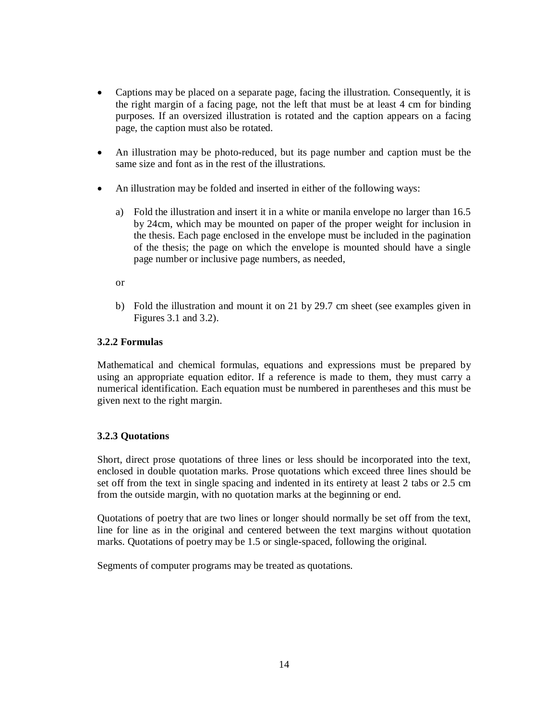- Captions may be placed on a separate page, facing the illustration. Consequently, it is the right margin of a facing page, not the left that must be at least 4 cm for binding purposes. If an oversized illustration is rotated and the caption appears on a facing page, the caption must also be rotated.
- An illustration may be photo-reduced, but its page number and caption must be the same size and font as in the rest of the illustrations.
- An illustration may be folded and inserted in either of the following ways:
	- a) Fold the illustration and insert it in a white or manila envelope no larger than 16.5 by 24cm, which may be mounted on paper of the proper weight for inclusion in the thesis. Each page enclosed in the envelope must be included in the pagination of the thesis; the page on which the envelope is mounted should have a single page number or inclusive page numbers, as needed,

or

b) Fold the illustration and mount it on 21 by 29.7 cm sheet (see examples given in Figures 3.1 and 3.2).

## **3.2.2 Formulas**

Mathematical and chemical formulas, equations and expressions must be prepared by using an appropriate equation editor. If a reference is made to them, they must carry a numerical identification. Each equation must be numbered in parentheses and this must be given next to the right margin.

# **3.2.3 Quotations**

Short, direct prose quotations of three lines or less should be incorporated into the text, enclosed in double quotation marks. Prose quotations which exceed three lines should be set off from the text in single spacing and indented in its entirety at least 2 tabs or 2.5 cm from the outside margin, with no quotation marks at the beginning or end.

Quotations of poetry that are two lines or longer should normally be set off from the text, line for line as in the original and centered between the text margins without quotation marks. Quotations of poetry may be 1.5 or single-spaced, following the original.

Segments of computer programs may be treated as quotations.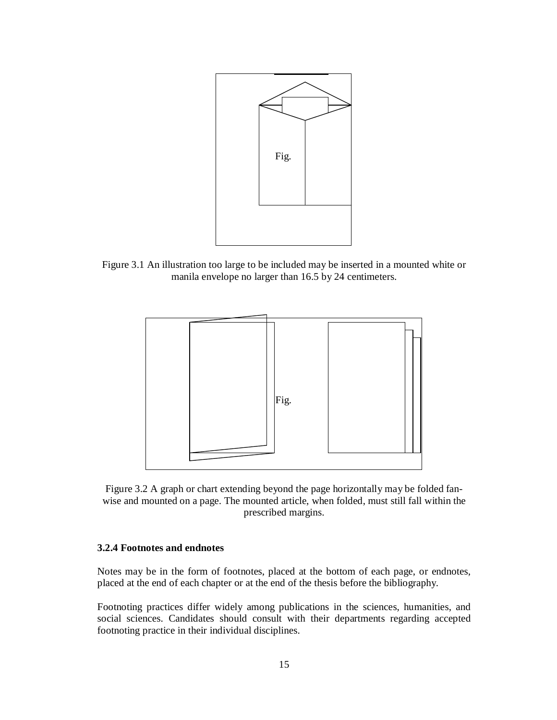

Figure 3.1 An illustration too large to be included may be inserted in a mounted white or manila envelope no larger than 16.5 by 24 centimeters.



Figure 3.2 A graph or chart extending beyond the page horizontally may be folded fanwise and mounted on a page. The mounted article, when folded, must still fall within the prescribed margins.

#### **3.2.4 Footnotes and endnotes**

Notes may be in the form of footnotes, placed at the bottom of each page, or endnotes, placed at the end of each chapter or at the end of the thesis before the bibliography.

Footnoting practices differ widely among publications in the sciences, humanities, and social sciences. Candidates should consult with their departments regarding accepted footnoting practice in their individual disciplines.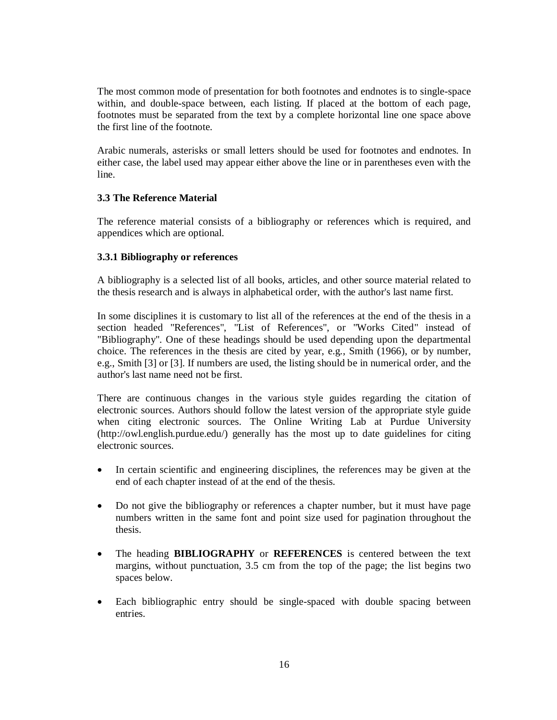The most common mode of presentation for both footnotes and endnotes is to single-space within, and double-space between, each listing. If placed at the bottom of each page, footnotes must be separated from the text by a complete horizontal line one space above the first line of the footnote.

Arabic numerals, asterisks or small letters should be used for footnotes and endnotes. In either case, the label used may appear either above the line or in parentheses even with the line.

#### **3.3 The Reference Material**

The reference material consists of a bibliography or references which is required, and appendices which are optional.

#### **3.3.1 Bibliography or references**

A bibliography is a selected list of all books, articles, and other source material related to the thesis research and is always in alphabetical order, with the author's last name first.

In some disciplines it is customary to list all of the references at the end of the thesis in a section headed "References", "List of References", or "Works Cited" instead of "Bibliography". One of these headings should be used depending upon the departmental choice. The references in the thesis are cited by year, e.g., Smith (1966), or by number, e.g., Smith [3] or [3]. If numbers are used, the listing should be in numerical order, and the author's last name need not be first.

There are continuous changes in the various style guides regarding the citation of electronic sources. Authors should follow the latest version of the appropriate style guide when citing electronic sources. The Online Writing Lab at Purdue University (http://owl.english.purdue.edu/) generally has the most up to date guidelines for citing electronic sources.

- In certain scientific and engineering disciplines, the references may be given at the end of each chapter instead of at the end of the thesis.
- Do not give the bibliography or references a chapter number, but it must have page numbers written in the same font and point size used for pagination throughout the thesis.
- The heading **BIBLIOGRAPHY** or **REFERENCES** is centered between the text margins, without punctuation, 3.5 cm from the top of the page; the list begins two spaces below.
- Each bibliographic entry should be single-spaced with double spacing between entries.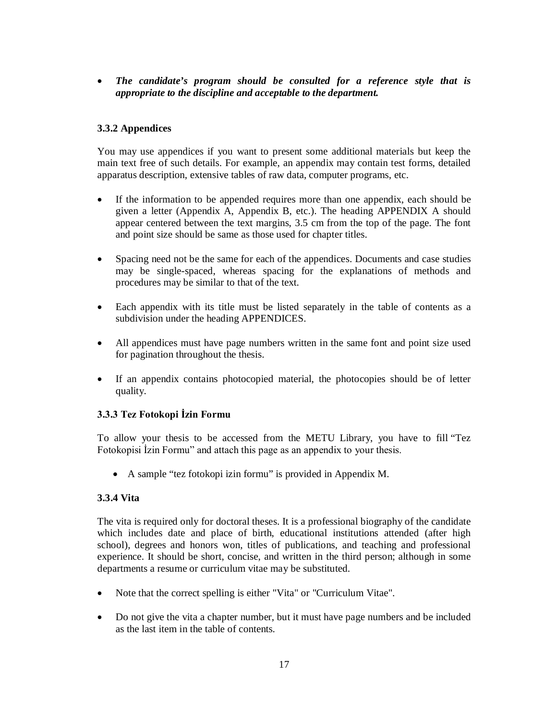*The candidate's program should be consulted for a reference style that is appropriate to the discipline and acceptable to the department.*

## **3.3.2 Appendices**

You may use appendices if you want to present some additional materials but keep the main text free of such details. For example, an appendix may contain test forms, detailed apparatus description, extensive tables of raw data, computer programs, etc.

- If the information to be appended requires more than one appendix, each should be given a letter (Appendix A, Appendix B, etc.). The heading APPENDIX A should appear centered between the text margins, 3.5 cm from the top of the page. The font and point size should be same as those used for chapter titles.
- Spacing need not be the same for each of the appendices. Documents and case studies may be single-spaced, whereas spacing for the explanations of methods and procedures may be similar to that of the text.
- Each appendix with its title must be listed separately in the table of contents as a subdivision under the heading APPENDICES.
- All appendices must have page numbers written in the same font and point size used for pagination throughout the thesis.
- If an appendix contains photocopied material, the photocopies should be of letter quality.

#### **3.3.3 Tez Fotokopi İzin Formu**

To allow your thesis to be accessed from the METU Library, you have to fill "Tez Fotokopisi İzin Formu" and attach this page as an appendix to your thesis.

A sample "tez fotokopi izin formu" is provided in Appendix M.

#### **3.3.4 Vita**

The vita is required only for doctoral theses. It is a professional biography of the candidate which includes date and place of birth, educational institutions attended (after high school), degrees and honors won, titles of publications, and teaching and professional experience. It should be short, concise, and written in the third person; although in some departments a resume or curriculum vitae may be substituted.

- Note that the correct spelling is either "Vita" or "Curriculum Vitae".
- Do not give the vita a chapter number, but it must have page numbers and be included as the last item in the table of contents.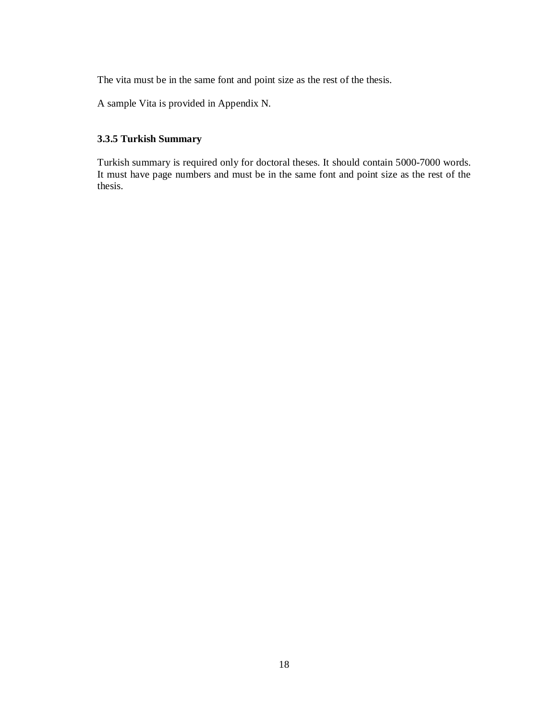The vita must be in the same font and point size as the rest of the thesis.

A sample Vita is provided in Appendix N.

## **3.3.5 Turkish Summary**

Turkish summary is required only for doctoral theses. It should contain 5000-7000 words. It must have page numbers and must be in the same font and point size as the rest of the thesis.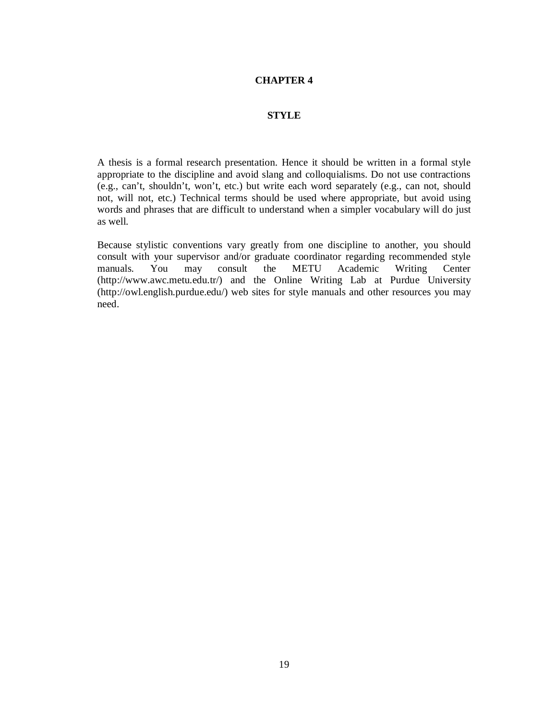## **CHAPTER 4**

#### **STYLE**

A thesis is a formal research presentation. Hence it should be written in a formal style appropriate to the discipline and avoid slang and colloquialisms. Do not use contractions (e.g., can't, shouldn't, won't, etc.) but write each word separately (e.g., can not, should not, will not, etc.) Technical terms should be used where appropriate, but avoid using words and phrases that are difficult to understand when a simpler vocabulary will do just as well.

Because stylistic conventions vary greatly from one discipline to another, you should consult with your supervisor and/or graduate coordinator regarding recommended style manuals. You may consult the METU Academic Writing Center (http://www.awc.metu.edu.tr/) and the Online Writing Lab at Purdue University (http://owl.english.purdue.edu/) web sites for style manuals and other resources you may need.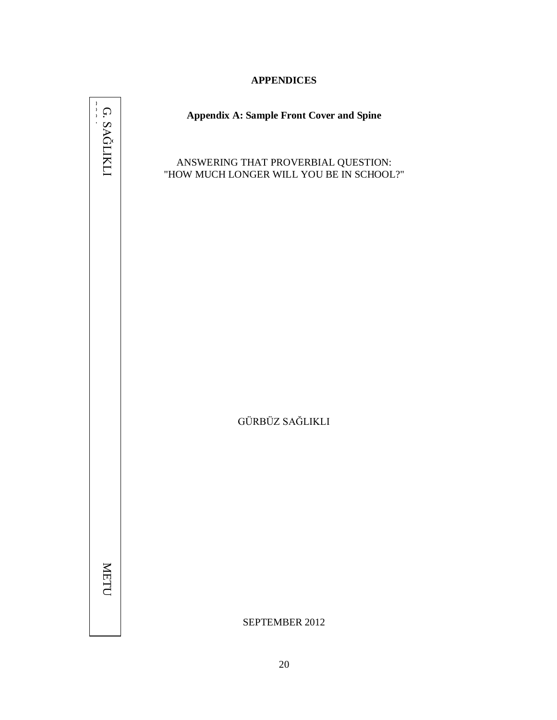# **APPENDICES**

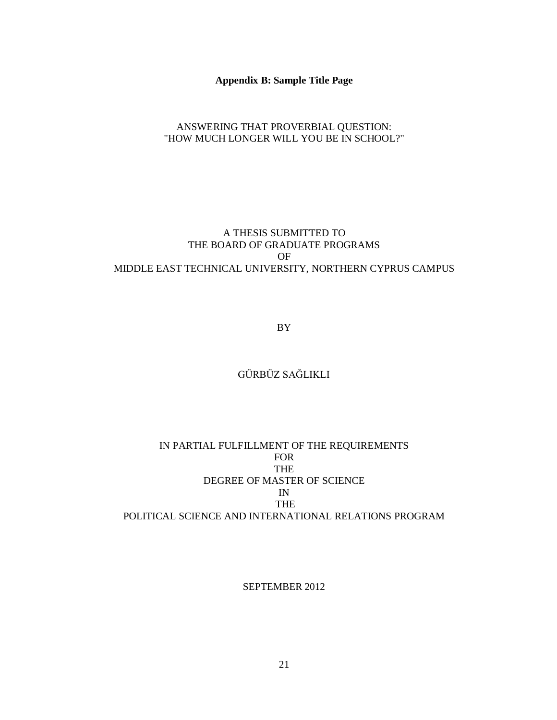#### **Appendix B: Sample Title Page**

# ANSWERING THAT PROVERBIAL QUESTION: "HOW MUCH LONGER WILL YOU BE IN SCHOOL?"

# A THESIS SUBMITTED TO THE BOARD OF GRADUATE PROGRAMS OF MIDDLE EAST TECHNICAL UNIVERSITY, NORTHERN CYPRUS CAMPUS

BY

# GÜRBÜZ SAĞLIKLI

# IN PARTIAL FULFILLMENT OF THE REQUIREMENTS FOR THE DEGREE OF MASTER OF SCIENCE IN THE POLITICAL SCIENCE AND INTERNATIONAL RELATIONS PROGRAM

#### SEPTEMBER 2012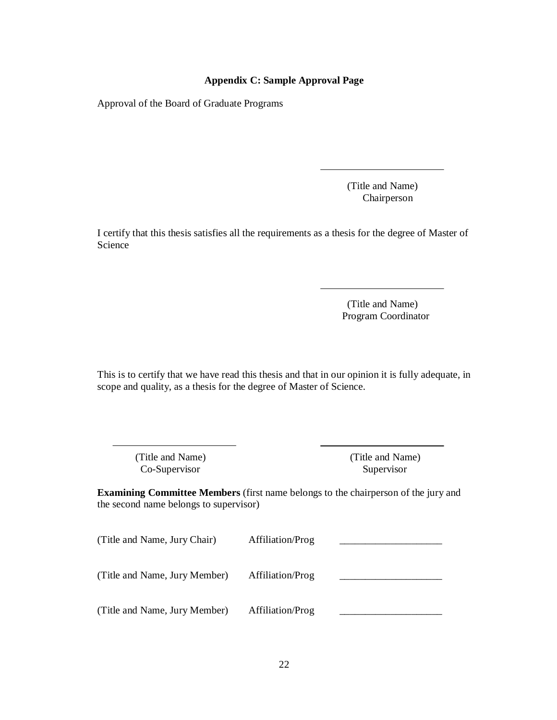#### **Appendix C: Sample Approval Page**

Approval of the Board of Graduate Programs

 (Title and Name) Chairperson

I certify that this thesis satisfies all the requirements as a thesis for the degree of Master of Science

> (Title and Name) Program Coordinator

This is to certify that we have read this thesis and that in our opinion it is fully adequate, in scope and quality, as a thesis for the degree of Master of Science.

> (Title and Name) (Title and Name) Co-Supervisor Supervisor

**Examining Committee Members** (first name belongs to the chairperson of the jury and the second name belongs to supervisor)

| (Title and Name, Jury Chair)  | Affiliation/Prog |  |
|-------------------------------|------------------|--|
| (Title and Name, Jury Member) | Affiliation/Prog |  |
| (Title and Name, Jury Member) | Affiliation/Prog |  |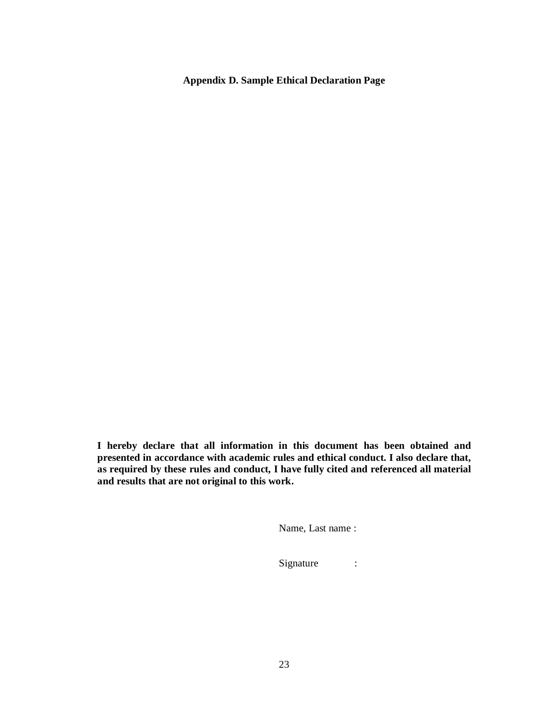**Appendix D. Sample Ethical Declaration Page**

**I hereby declare that all information in this document has been obtained and presented in accordance with academic rules and ethical conduct. I also declare that, as required by these rules and conduct, I have fully cited and referenced all material and results that are not original to this work.**

Name, Last name :

Signature :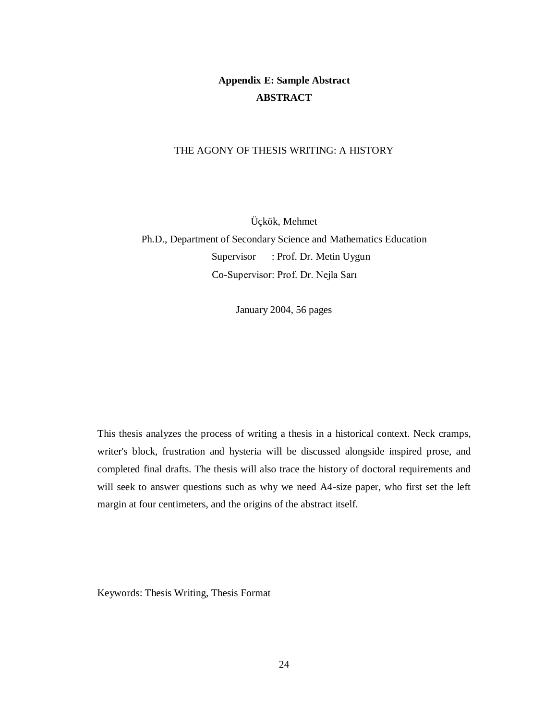# **Appendix E: Sample Abstract ABSTRACT**

#### THE AGONY OF THESIS WRITING: A HISTORY

Üçkök, Mehmet

Ph.D., Department of Secondary Science and Mathematics Education Supervisor : Prof. Dr. Metin Uygun Co-Supervisor: Prof. Dr. Nejla Sarı

January 2004, 56 pages

This thesis analyzes the process of writing a thesis in a historical context. Neck cramps, writer's block, frustration and hysteria will be discussed alongside inspired prose, and completed final drafts. The thesis will also trace the history of doctoral requirements and will seek to answer questions such as why we need A4-size paper, who first set the left margin at four centimeters, and the origins of the abstract itself.

Keywords: Thesis Writing, Thesis Format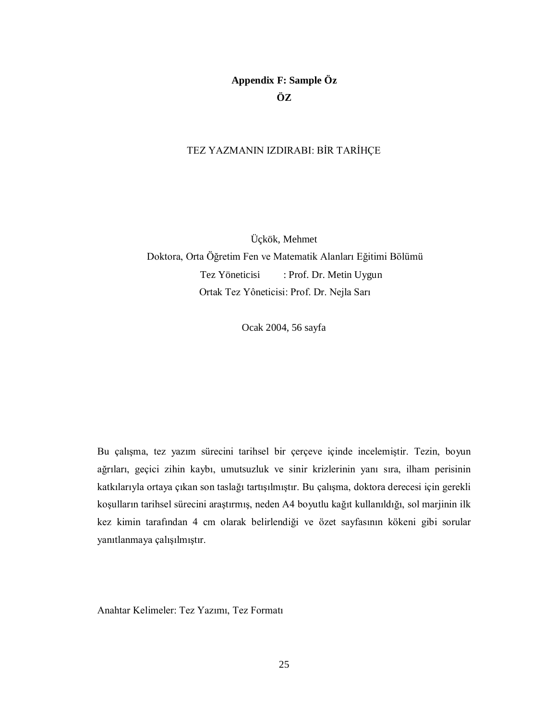# **Appendix F: Sample Öz ÖZ**

#### TEZ YAZMANIN IZDIRABI: BİR TARİHÇE

Üçkök, Mehmet Doktora, Orta Öğretim Fen ve Matematik Alanları Eğitimi Bölümü Tez Yöneticisi : Prof. Dr. Metin Uygun Ortak Tez Yôneticisi: Prof. Dr. Nejla Sarı

Ocak 2004, 56 sayfa

Bu çalışma, tez yazım sürecini tarihsel bir çerçeve içinde incelemiştir. Tezin, boyun ağrıları, geçici zihin kaybı, umutsuzluk ve sinir krizlerinin yanı sıra, ilham perisinin katkılarıyla ortaya çıkan son taslağı tartışılmıştır. Bu çalışma, doktora derecesi için gerekli koşulların tarihsel sürecini araştırmış, neden A4 boyutlu kağıt kullanıldığı, sol marjinin ilk kez kimin tarafından 4 cm olarak belirlendiği ve özet sayfasının kökeni gibi sorular yanıtlanmaya çalışılmıştır.

Anahtar Kelimeler: Tez Yazımı, Tez Formatı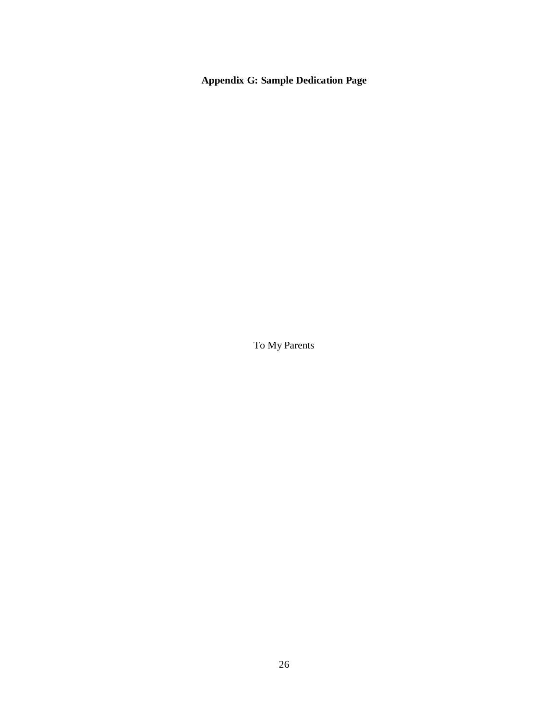**Appendix G: Sample Dedication Page**

To My Parents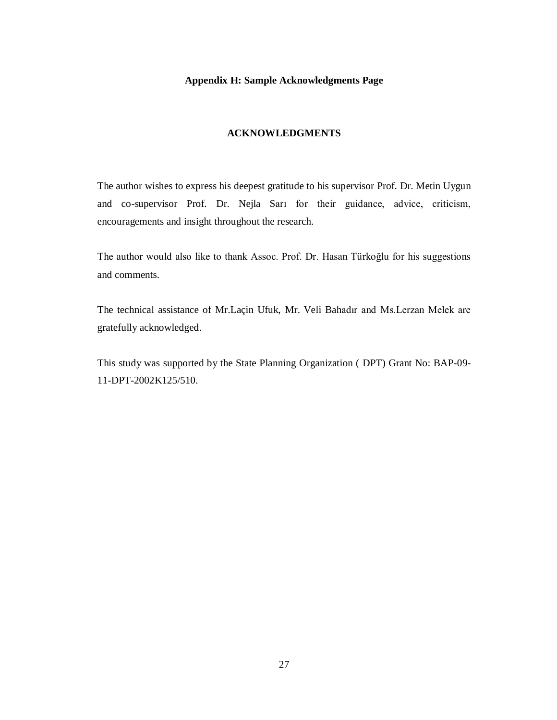#### **Appendix H: Sample Acknowledgments Page**

#### **ACKNOWLEDGMENTS**

The author wishes to express his deepest gratitude to his supervisor Prof. Dr. Metin Uygun and co-supervisor Prof. Dr. Nejla Sarı for their guidance, advice, criticism, encouragements and insight throughout the research.

The author would also like to thank Assoc. Prof. Dr. Hasan Türkoğlu for his suggestions and comments.

The technical assistance of Mr.Laçin Ufuk, Mr. Veli Bahadır and Ms.Lerzan Melek are gratefully acknowledged.

This study was supported by the State Planning Organization ( DPT) Grant No: BAP-09- 11-DPT-2002K125/510.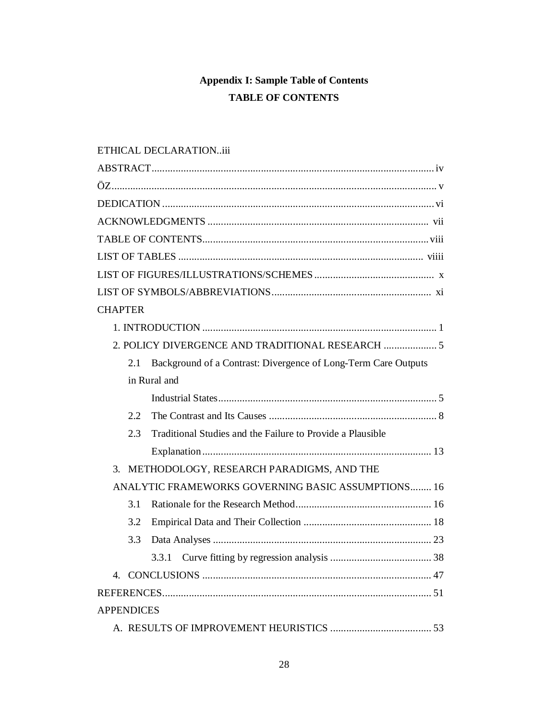# **Appendix I: Sample Table of Contents TABLE OF CONTENTS**

# ETHICAL DECLARATION..iii

| <b>CHAPTER</b>                                                        |
|-----------------------------------------------------------------------|
|                                                                       |
| 2. POLICY DIVERGENCE AND TRADITIONAL RESEARCH  5                      |
| Background of a Contrast: Divergence of Long-Term Care Outputs<br>2.1 |
| in Rural and                                                          |
|                                                                       |
| 2.2                                                                   |
| 2.3<br>Traditional Studies and the Failure to Provide a Plausible     |
|                                                                       |
| 3.<br>METHODOLOGY, RESEARCH PARADIGMS, AND THE                        |
| ANALYTIC FRAMEWORKS GOVERNING BASIC ASSUMPTIONS 16                    |
| 3.1                                                                   |
| 3.2                                                                   |
| 3.3                                                                   |
|                                                                       |
|                                                                       |
|                                                                       |
| <b>APPENDICES</b>                                                     |
|                                                                       |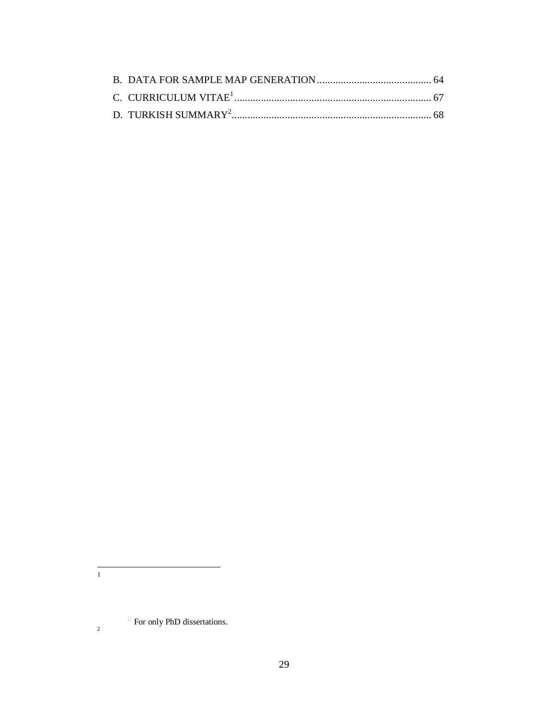$\frac{1}{1}$ 

For only PhD dissertations.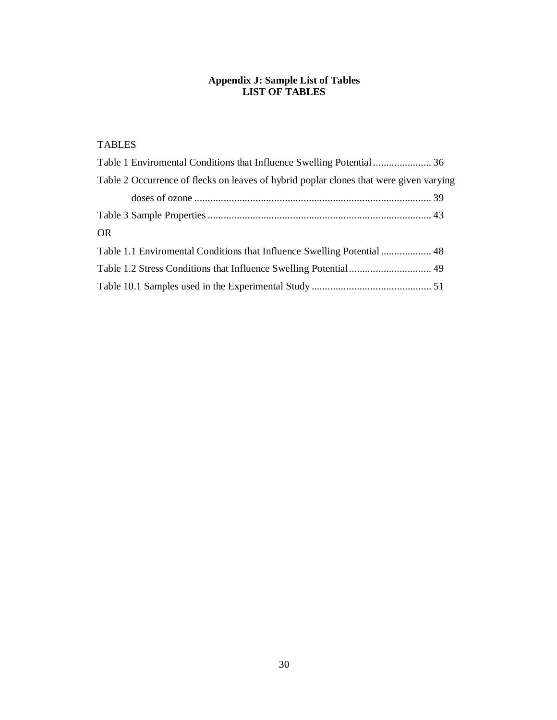#### **Appendix J: Sample List of Tables LIST OF TABLES**

# TABLES

| Table 2 Occurrence of flecks on leaves of hybrid poplar clones that were given varying |  |
|----------------------------------------------------------------------------------------|--|
|                                                                                        |  |
|                                                                                        |  |
| <b>OR</b>                                                                              |  |
| Table 1.1 Enviromental Conditions that Influence Swelling Potential  48                |  |
|                                                                                        |  |
|                                                                                        |  |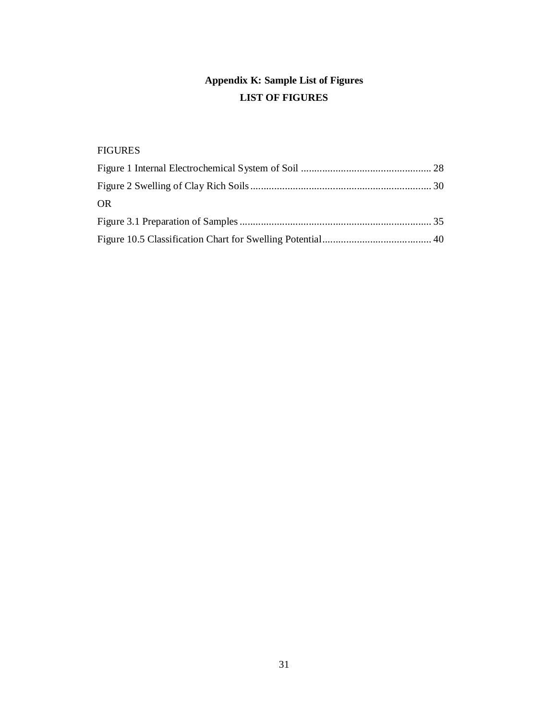# **Appendix K: Sample List of Figures LIST OF FIGURES**

# FIGURES

| OR. |  |
|-----|--|
|     |  |
|     |  |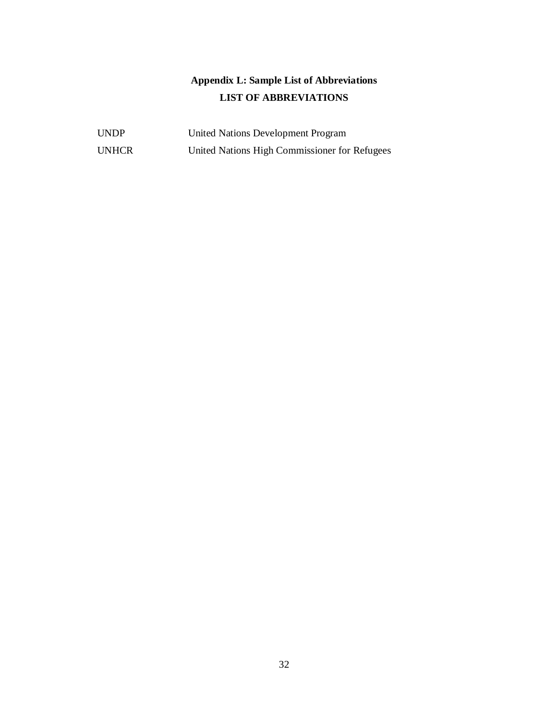# **Appendix L: Sample List of Abbreviations LIST OF ABBREVIATIONS**

| <b>UNDP</b>  | United Nations Development Program            |
|--------------|-----------------------------------------------|
| <b>UNHCR</b> | United Nations High Commissioner for Refugees |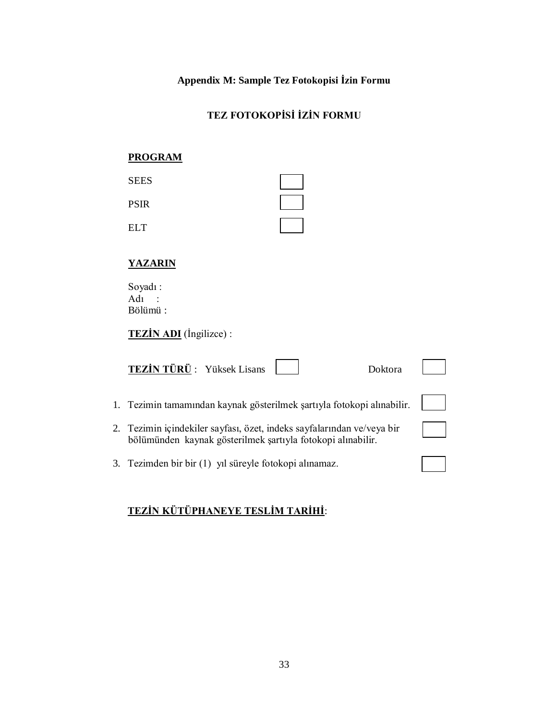**Appendix M: Sample Tez Fotokopisi İzin Formu**

# **TEZ FOTOKOPİSİ İZİN FORMU**

# **PROGRAM**

| <b>SEES</b> |  |
|-------------|--|
| PSIR        |  |
| EL T        |  |

# **YAZARIN**

Soyadı : Adı : Bölümü :

**TEZİN ADI** (İngilizce) :

| <b>TEZİN TÜRÜ:</b> Yüksek Lisans<br>Doktora                                                                                           |  |
|---------------------------------------------------------------------------------------------------------------------------------------|--|
| 1. Tezimin tamamından kaynak gösterilmek şartıyla fotokopi alınabilir.                                                                |  |
| 2. Tezimin içindekiler sayfası, özet, indeks sayfalarından ve/veya bir<br>bölümünden kaynak gösterilmek şartıyla fotokopi alınabilir. |  |
| 3. Tezimden bir bir (1) yıl süreyle fotokopi alınamaz.                                                                                |  |

# **TEZİN KÜTÜPHANEYE TESLİM TARİHİ**: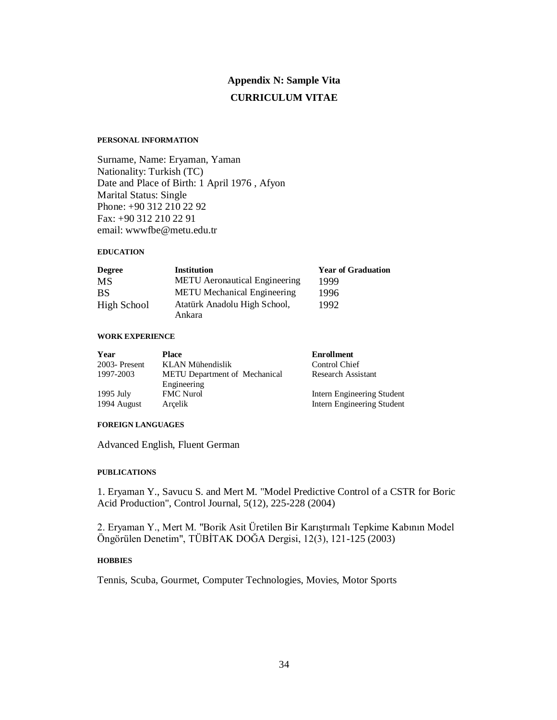# **Appendix N: Sample Vita CURRICULUM VITAE**

#### **PERSONAL INFORMATION**

Surname, Name: Eryaman, Yaman Nationality: Turkish (TC) Date and Place of Birth: 1 April 1976 , Afyon Marital Status: Single Phone: +90 312 210 22 92 Fax: +90 312 210 22 91 email: wwwfbe@metu.edu.tr

#### **EDUCATION**

| <b>Degree</b> | <b>Institution</b>                   | <b>Year of Graduation</b> |
|---------------|--------------------------------------|---------------------------|
| MS            | <b>METU</b> Aeronautical Engineering | 1999                      |
| <b>BS</b>     | <b>METU</b> Mechanical Engineering   | 1996                      |
| High School   | Atatürk Anadolu High School,         | 1992                      |
|               | Ankara                               |                           |

#### **WORK EXPERIENCE**

| Year                       | Place                                               | <b>Enrollment</b>                                        |
|----------------------------|-----------------------------------------------------|----------------------------------------------------------|
| $2003$ -Present            | KLAN Mühendislik                                    | Control Chief                                            |
| 1997-2003                  | <b>METU</b> Department of Mechanical<br>Engineering | <b>Research Assistant</b>                                |
| $1995$ July<br>1994 August | <b>FMC</b> Nurol<br>Arcelik                         | Intern Engineering Student<br>Intern Engineering Student |

#### **FOREIGN LANGUAGES**

Advanced English, Fluent German

#### **PUBLICATIONS**

1. Eryaman Y., Savucu S. and Mert M. "Model Predictive Control of a CSTR for Boric Acid Production", Control Journal, 5(12), 225-228 (2004)

2. Eryaman Y., Mert M. "Borik Asit Üretilen Bir Karıştırmalı Tepkime Kabının Model Öngörülen Denetim", TÜBİTAK DOĞA Dergisi, 12(3), 121-125 (2003)

#### **HOBBIES**

Tennis, Scuba, Gourmet, Computer Technologies, Movies, Motor Sports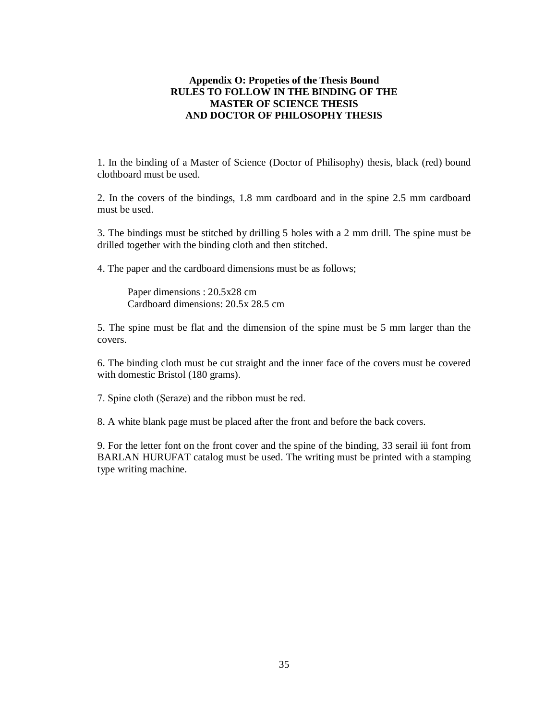#### **Appendix O: Propeties of the Thesis Bound RULES TO FOLLOW IN THE BINDING OF THE MASTER OF SCIENCE THESIS AND DOCTOR OF PHILOSOPHY THESIS**

1. In the binding of a Master of Science (Doctor of Philisophy) thesis, black (red) bound clothboard must be used.

2. In the covers of the bindings, 1.8 mm cardboard and in the spine 2.5 mm cardboard must be used.

3. The bindings must be stitched by drilling 5 holes with a 2 mm drill. The spine must be drilled together with the binding cloth and then stitched.

4. The paper and the cardboard dimensions must be as follows;

Paper dimensions : 20.5x28 cm Cardboard dimensions: 20.5x 28.5 cm

5. The spine must be flat and the dimension of the spine must be 5 mm larger than the covers.

6. The binding cloth must be cut straight and the inner face of the covers must be covered with domestic Bristol (180 grams).

7. Spine cloth (Şeraze) and the ribbon must be red.

8. A white blank page must be placed after the front and before the back covers.

9. For the letter font on the front cover and the spine of the binding, 33 serail iü font from BARLAN HURUFAT catalog must be used. The writing must be printed with a stamping type writing machine.